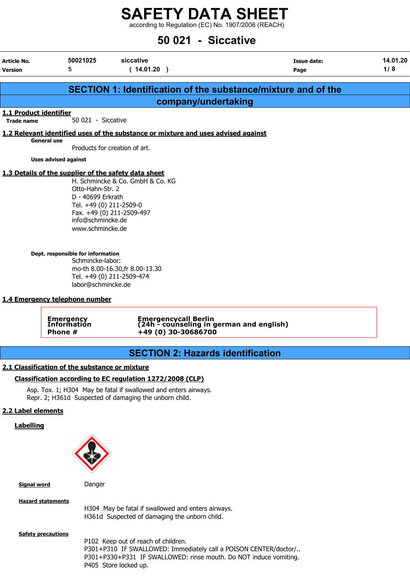according to Regulation (EC) No. 1907/2006 (REACH)

## 50 021 - Siccative

erticle No. 14.01.20 Version 5 (14.01.20 ) Page 1/ 8

|                                                                                                                                       | SECTION 1: Identification of the substance/mixture and of the                                                                                                                                                                      |  |  |  |  |  |
|---------------------------------------------------------------------------------------------------------------------------------------|------------------------------------------------------------------------------------------------------------------------------------------------------------------------------------------------------------------------------------|--|--|--|--|--|
| company/undertaking                                                                                                                   |                                                                                                                                                                                                                                    |  |  |  |  |  |
| 1.1 Product identifier<br><b>Trade name</b>                                                                                           | 50.021 - Siccative                                                                                                                                                                                                                 |  |  |  |  |  |
|                                                                                                                                       | 1.2 Relevant identified uses of the substance or mixture and uses advised against                                                                                                                                                  |  |  |  |  |  |
| <b>General use</b>                                                                                                                    | Products for creation of art.                                                                                                                                                                                                      |  |  |  |  |  |
| <b>Uses advised against</b>                                                                                                           |                                                                                                                                                                                                                                    |  |  |  |  |  |
|                                                                                                                                       | 1.3 Details of the supplier of the safety data sheet<br>H. Schmincke & Co. GmbH & Co. KG<br>Otto-Hahn-Str. 2<br>D - 40699 Erkrath<br>Tel. +49 (0) 211-2509-0<br>Fax. +49 (0) 211-2509-497<br>info@schmincke.de<br>www.schmincke.de |  |  |  |  |  |
| Dept. responsible for information<br>1.4 Emergency telephone number                                                                   | Schmincke-labor:<br>mo-th 8.00-16.30, fr 8.00-13.30<br>Tel. +49 (0) 211-2509-474<br>labor@schmincke.de                                                                                                                             |  |  |  |  |  |
| Emergencycall Berlin<br>(24h - counseling in german and english)<br><b>Emergency</b><br>Information<br>+49 (0) 30-30686700<br>Phone # |                                                                                                                                                                                                                                    |  |  |  |  |  |
|                                                                                                                                       | <b>SECTION 2: Hazards identification</b>                                                                                                                                                                                           |  |  |  |  |  |
| 2.1 Classification of the substance or mixture                                                                                        |                                                                                                                                                                                                                                    |  |  |  |  |  |
|                                                                                                                                       | Classification according to EC regulation 1272/2008 (CLP)                                                                                                                                                                          |  |  |  |  |  |
|                                                                                                                                       | Asp. Tox. 1; H304 May be fatal if swallowed and enters airways.<br>Repr. 2; H361d Suspected of damaging the unborn child.                                                                                                          |  |  |  |  |  |
| 2.2 Label elements                                                                                                                    |                                                                                                                                                                                                                                    |  |  |  |  |  |
| <b>Labelling</b>                                                                                                                      |                                                                                                                                                                                                                                    |  |  |  |  |  |
| <b>Signal word</b>                                                                                                                    | Danger                                                                                                                                                                                                                             |  |  |  |  |  |
| <b>Hazard statements</b>                                                                                                              | H304 May be fatal if swallowed and enters airways.<br>H361d Suspected of damaging the unborn child.                                                                                                                                |  |  |  |  |  |
| <b>Safety precautions</b>                                                                                                             | P102 Keep out of reach of children.<br>P301+P310 IF SWALLOWED: Immediately call a POISON CENTER/doctor/<br>P301+P330+P331 IF SWALLOWED: rinse mouth. Do NOT induce vomiting.<br>P405 Store locked up.                              |  |  |  |  |  |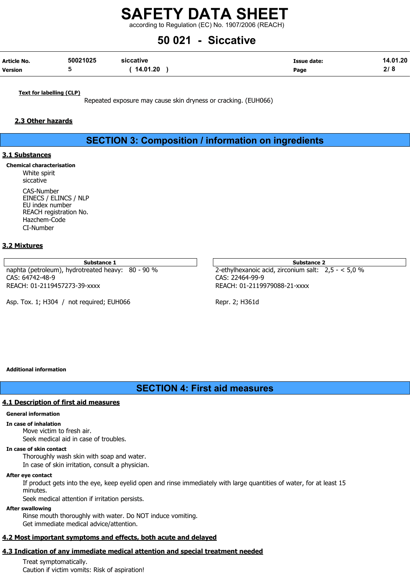according to Regulation (EC) No. 1907/2006 (REACH)

## 50 021 - Siccative

| Article No.    | 50021025 | siccative | <b>Issue date:</b> | 14.01.20 |
|----------------|----------|-----------|--------------------|----------|
| <b>Version</b> |          | 14.01.20  | Page               | 2/8      |

Text for labelling (CLP)

Repeated exposure may cause skin dryness or cracking. (EUH066)

#### 2.3 Other hazards

SECTION 3: Composition / information on ingredients

#### 3.1 Substances

Chemical characterisation White spirit siccative CAS-Number EINECS / ELINCS / NLP EU index number REACH registration No. Hazchem-Code CI-Number

#### 3.2 Mixtures

Substance 1 Substance 2 Substance 2 Substance 2 Substance 2 Substance 2 Substance 2 Substance 2 Substance 2 Su naphta (petroleum), hydrotreated heavy: 80 - 90 % 2-ethylhexanoic acid, zirconium salt: 2,5 - < 5,0 % CAS: 64742-48-9 CAS: 22464-99-9 REACH: 01-2119457273-39-xxxx REACH: 01-2119979088-21-xxxx

Asp. Tox. 1; H304 / not required; EUH066 Repr. 2; H361d

#### Additional information

## SECTION 4: First aid measures

#### 4.1 Description of first aid measures

#### General information

In case of inhalation

Move victim to fresh air. Seek medical aid in case of troubles.

#### In case of skin contact

Thoroughly wash skin with soap and water.

In case of skin irritation, consult a physician.

#### After eye contact

If product gets into the eye, keep eyelid open and rinse immediately with large quantities of water, for at least 15 minutes.

Seek medical attention if irritation persists.

#### After swallowing

Rinse mouth thoroughly with water. Do NOT induce vomiting. Get immediate medical advice/attention.

## 4.2 Most important symptoms and effects, both acute and delayed

## 4.3 Indication of any immediate medical attention and special treatment needed

Treat symptomatically. Caution if victim vomits: Risk of aspiration!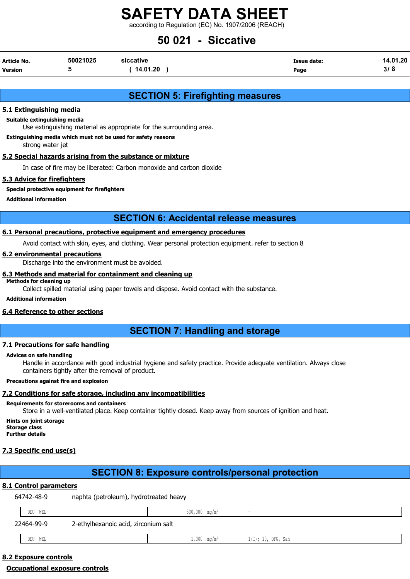according to Regulation (EC) No. 1907/2006 (REACH)

## 50 021 - Siccative

| Article No.    | 50021025 | siccative | Issue date: | 14.01.20 |
|----------------|----------|-----------|-------------|----------|
| <b>Version</b> |          | 14.01.20  | Page        | ა დ      |

## SECTION 5: Firefighting measures

#### 5.1 Extinguishing media

#### Suitable extinguishing media

Use extinguishing material as appropriate for the surrounding area.

#### Extinguishing media which must not be used for safety reasons

strong water jet

#### 5.2 Special hazards arising from the substance or mixture

In case of fire may be liberated: Carbon monoxide and carbon dioxide

#### 5.3 Advice for firefighters

Special protective equipment for firefighters

Additional information

### SECTION 6: Accidental release measures

#### 6.1 Personal precautions, protective equipment and emergency procedures

Avoid contact with skin, eyes, and clothing. Wear personal protection equipment. refer to section 8

#### 6.2 environmental precautions

Discharge into the environment must be avoided.

#### 6.3 Methods and material for containment and cleaning up

Methods for cleaning up

Collect spilled material using paper towels and dispose. Avoid contact with the substance.

Additional information

#### 6.4 Reference to other sections

## SECTION 7: Handling and storage

#### 7.1 Precautions for safe handling

#### Advices on safe handling

Handle in accordance with good industrial hygiene and safety practice. Provide adequate ventilation. Always close containers tightly after the removal of product.

#### Precautions against fire and explosion

#### 7.2 Conditions for safe storage, including any incompatibilities

#### Requirements for storerooms and containers

Store in a well-ventilated place. Keep container tightly closed. Keep away from sources of ignition and heat.

Hints on joint storage Storage class

Further details

#### 7.3 Specific end use(s)

## SECTION 8: Exposure controls/personal protection

#### 8.1 Control parameters

|            | 64742-48-9 |           | naphta (petroleum), hydrotreated heavy |                             |                           |                    |
|------------|------------|-----------|----------------------------------------|-----------------------------|---------------------------|--------------------|
|            |            | DEU   WEL |                                        | $300,000$ mq/m <sup>3</sup> |                           |                    |
| 22464-99-9 |            |           | 2-ethylhexanoic acid, zirconium salt   |                             |                           |                    |
|            |            | DEU   WEL |                                        |                             | $1,000$ mg/m <sup>3</sup> | 1(I); 10, DFG, Sah |

### 8.2 Exposure controls

#### Occupational exposure controls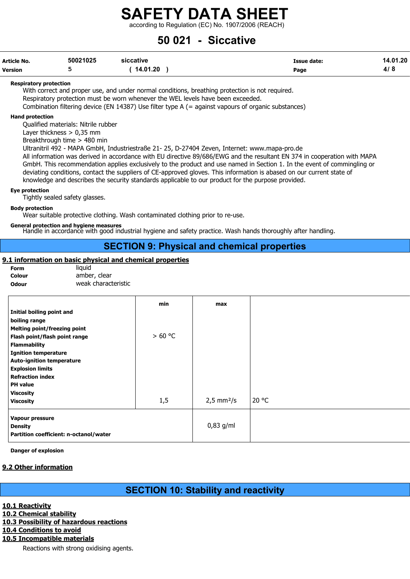according to Regulation (EC) No. 1907/2006 (REACH)

## 50 021 - Siccative

| Article No. | 50021025 | siccative | <b>Issue date:</b> | 14.01.20 |
|-------------|----------|-----------|--------------------|----------|
| Version     |          | 14.01.20  | Page               | 4/8      |

#### Respiratory protection

With correct and proper use, and under normal conditions, breathing protection is not required. Respiratory protection must be worn whenever the WEL levels have been exceeded. Combination filtering device (EN 14387) Use filter type A (= against vapours of organic substances)

#### Hand protection

Qualified materials: Nitrile rubber

Layer thickness > 0,35 mm

Breakthrough time > 480 min

Ultranitril 492 - MAPA GmbH, Industriestraße 21- 25, D-27404 Zeven, Internet: www.mapa-pro.de

All information was derived in accordance with EU directive 89/686/EWG and the resultant EN 374 in cooperation with MAPA GmbH. This recommendation applies exclusively to the product and use named in Section 1. In the event of commingling or deviating conditions, contact the suppliers of CE-approved gloves. This information is abased on our current state of knowledge and describes the security standards applicable to our product for the purpose provided.

#### Eye protection

Tightly sealed safety glasses.

#### Body protection

Wear suitable protective clothing. Wash contaminated clothing prior to re-use.

#### General protection and hygiene measures

Handle in accordance with good industrial hygiene and safety practice. Wash hands thoroughly after handling.

## SECTION 9: Physical and chemical properties

#### 9.1 information on basic physical and chemical properties

| Form       |  |
|------------|--|
| Colour     |  |
| <b>A</b> J |  |

liquid amber, clear Odour weak characteristic

|                                                                                                                                                                                                                                                                                       | min     | max                           |       |
|---------------------------------------------------------------------------------------------------------------------------------------------------------------------------------------------------------------------------------------------------------------------------------------|---------|-------------------------------|-------|
| Initial boiling point and<br>boiling range<br><b>Melting point/freezing point</b><br>Flash point/flash point range<br><b>Flammability</b><br><b>Ignition temperature</b><br><b>Auto-ignition temperature</b><br><b>Explosion limits</b><br><b>Refraction index</b><br><b>PH</b> value | > 60 °C |                               |       |
| <b>Viscosity</b><br><b>Viscosity</b>                                                                                                                                                                                                                                                  | 1,5     | $2,5 \, \text{mm}^2/\text{s}$ | 20 °C |
| Vapour pressure<br><b>Density</b><br>Partition coefficient: n-octanol/water                                                                                                                                                                                                           |         | $0,83$ g/ml                   |       |

Danger of explosion

#### 9.2 Other information

## SECTION 10: Stability and reactivity

#### 10.1 Reactivity

10.2 Chemical stability

#### 10.3 Possibility of hazardous reactions

10.4 Conditions to avoid

## 10.5 Incompatible materials

Reactions with strong oxidising agents.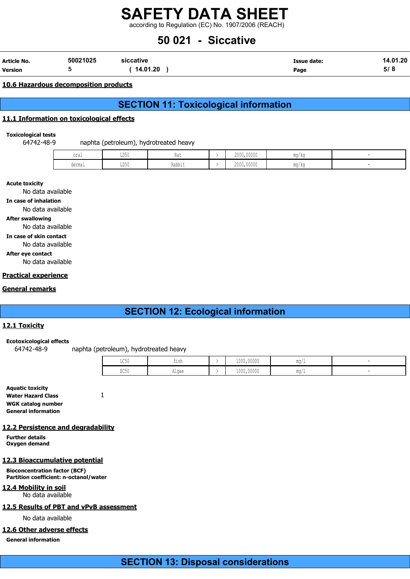according to Regulation (EC) No. 1907/2006 (REACH)

## 50 021 - Siccative

| Article No.    | 50021025 | siccative | Issue date: | 14.01.20 |
|----------------|----------|-----------|-------------|----------|
| <b>Version</b> |          | 14.01.20  | Page        | ວ/ ດ     |

#### 10.6 Hazardous decomposition products

## SECTION 11: Toxicological information

#### 11.1 Information on toxicological effects

#### Toxicological tests

64742-48-9 naphta (petroleum), hydrotreated heavy

| oral   | LD50 | <b>IWU</b> | 2000,00000 | ma/ka |  |
|--------|------|------------|------------|-------|--|
| dermal | LD50 | Rabbit     | 2000,00000 | mg/kg |  |

#### Acute toxicity

No data available

#### In case of inhalation

No data available

#### After swallowing

No data available

#### In case of skin contact

No data available

#### After eye contact

No data available

#### Practical experience

#### General remarks

## SECTION 12: Ecological information

#### 12.1 Toxicity

#### Ecotoxicological effects

64742-48-9 naphta (petroleum), hydrotreated heavy

| TORA.<br>コンマル           | $-1$<br>t i ch<br>--- | 1000,00000 | $m \sim$<br>- 111 J L |  |
|-------------------------|-----------------------|------------|-----------------------|--|
| $P \cap E \cap$<br>コンマハ | ۱ مەم ا<br>niyat      | 1000,00000 | $m \sim$<br>- 111 J L |  |

#### Aquatic toxicity Water Hazard Class 1 WGK catalog number General information

#### 12.2 Persistence and degradability

Further details Oxygen demand

#### 12.3 Bioaccumulative potential

Bioconcentration factor (BCF) Partition coefficient: n-octanol/water

#### 12.4 Mobility in soil

No data available

#### 12.5 Results of PBT and vPvB assessment

No data available

#### 12.6 Other adverse effects

General information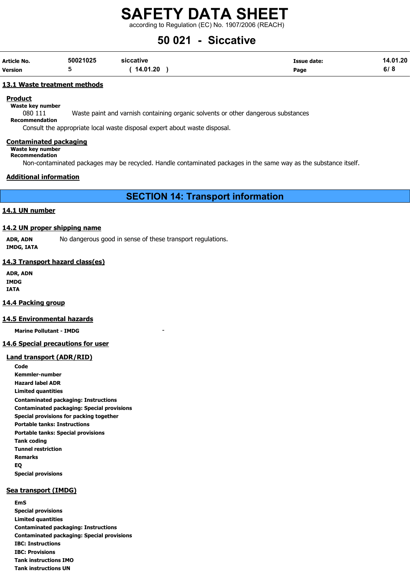according to Regulation (EC) No. 1907/2006 (REACH)

## 50 021 - Siccative

| Article No.    | 50021025 | siccative | Issue date: | 14.01.20 |
|----------------|----------|-----------|-------------|----------|
| <b>Version</b> |          | 14.01.20  | Page        | ס וס     |

#### 13.1 Waste treatment methods

**Product** 

Waste key number

080 111 Waste paint and varnish containing organic solvents or other dangerous substances

Recommendation

Consult the appropriate local waste disposal expert about waste disposal.

#### Contaminated packaging

Waste key number Recommendation

Non-contaminated packages may be recycled. Handle contaminated packages in the same way as the substance itself.

#### Additional information

## SECTION 14: Transport information

#### 14.1 UN number

#### 14.2 UN proper shipping name

ADR, ADN No dangerous good in sense of these transport regulations. IMDG, IATA

#### 14.3 Transport hazard class(es)

ADR, ADN IMDG IATA

#### 14.4 Packing group

#### 14.5 Environmental hazards

Marine Pollutant - IMDG

#### 14.6 Special precautions for user

#### Land transport (ADR/RID)

Code Kemmler-number Hazard label ADR Limited quantities Contaminated packaging: Instructions Contaminated packaging: Special provisions Special provisions for packing together Portable tanks: Instructions Portable tanks: Special provisions Tank coding Tunnel restriction Remarks EQ Special provisions

#### Sea transport (IMDG)

EmS Special provisions Limited quantities Contaminated packaging: Instructions Contaminated packaging: Special provisions IBC: Instructions IBC: Provisions Tank instructions IMO Tank instructions UN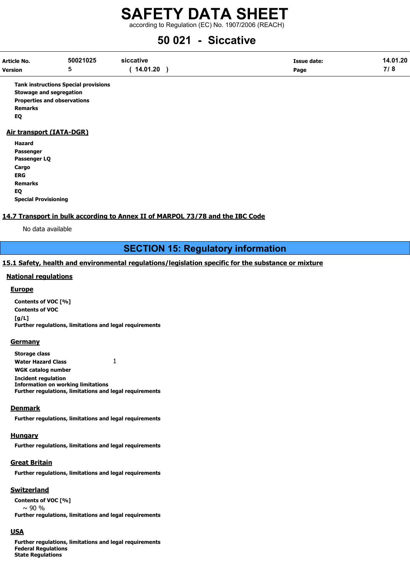according to Regulation (EC) No. 1907/2006 (REACH)

## 50 021 - Siccative

| Article No.    | 50021025 | siccative | <b>Issue date:</b> | 14.01.20 |
|----------------|----------|-----------|--------------------|----------|
| <b>Version</b> | ۔        | 14.01.20  | Page               | 710      |

Tank instructions Special provisions Stowage and segregation Properties and observations Remarks EQ

#### Air transport (IATA-DGR)

| Hazard                      |
|-----------------------------|
| Passenger                   |
| Passenger LQ                |
| Cargo                       |
| ERG                         |
| <b>Remarks</b>              |
| EQ                          |
| <b>Special Provisioning</b> |

#### 14.7 Transport in bulk according to Annex II of MARPOL 73/78 and the IBC Code

No data available

## SECTION 15: Regulatory information

#### 15.1 Safety, health and environmental regulations/legislation specific for the substance or mixture

#### National regulations

#### Europe

Contents of VOC [%] Contents of VOC [g/L] Further regulations, limitations and legal requirements

#### **Germany**

Storage class Water Hazard Class 1 WGK catalog number Incident regulation Information on working limitations Further regulations, limitations and legal requirements

#### **Denmark**

Further regulations, limitations and legal requirements

#### **Hungary**

Further regulations, limitations and legal requirements

#### Great Britain

Further regulations, limitations and legal requirements

#### Switzerland

Contents of VOC [%]  $\sim$  90 % Further regulations, limitations and legal requirements

#### USA

Further regulations, limitations and legal requirements Federal Regulations State Regulations